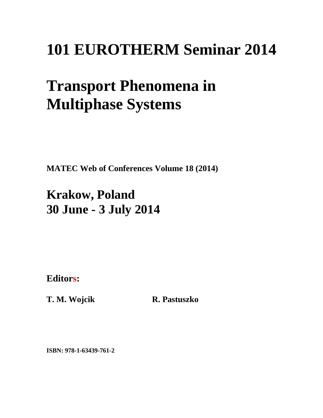## **101 EUROTHERM Seminar 2014**

# **Transport Phenomena in Multiphase Systems**

**MATEC Web of Conferences Volume 18 (2014)** 

### **Krakow, Poland 30 June - 3 July 2014**

**Editors:** 

**T. M. Wojcik R. Pastuszko** 

**ISBN: 978-1-63439-761-2**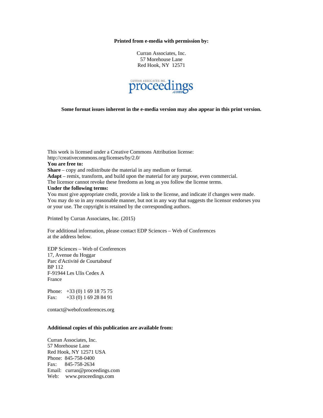#### **Printed from e-media with permission by:**

Curran Associates, Inc. 57 Morehouse Lane Red Hook, NY 12571



**Some format issues inherent in the e-media version may also appear in this print version.** 

This work is licensed under a Creative Commons Attribution license: http://creativecommons.org/licenses/by/2.0/ **You are free to: Share** – copy and redistribute the material in any medium or format. **Adapt** – remix, transform, and build upon the material for any purpose, even commercial. The licensor cannot revoke these freedoms as long as you follow the license terms. **Under the following terms:**  You must give appropriate credit, provide a link to the license, and indicate if changes were made. You may do so in any reasonable manner, but not in any way that suggests the licensor endorses you or your use. The copyright is retained by the corresponding authors.

Printed by Curran Associates, Inc. (2015)

For additional information, please contact EDP Sciences – Web of Conferences at the address below.

EDP Sciences – Web of Conferences 17, Avenue du Hoggar Parc d'Activité de Courtabœuf BP 112 F-91944 Les Ulis Cedex A France

Phone: +33 (0) 1 69 18 75 75 Fax: +33 (0) 1 69 28 84 91

contact@webofconferences.org

#### **Additional copies of this publication are available from:**

Curran Associates, Inc. 57 Morehouse Lane Red Hook, NY 12571 USA Phone: 845-758-0400 Fax: 845-758-2634 Email: curran@proceedings.com Web: www.proceedings.com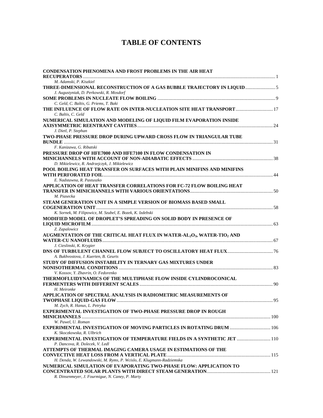### **TABLE OF CONTENTS**

| <b>CONDENSATION PHENOMENA AND FROST PROBLEMS IN THE AIR HEAT</b>                                            |  |
|-------------------------------------------------------------------------------------------------------------|--|
|                                                                                                             |  |
| M. Adamski, P. Kiszkiel                                                                                     |  |
|                                                                                                             |  |
| J. Augustyniak, D. Perkowski, R. Mosdorf                                                                    |  |
| C. Geld, C. Baltis, G. Priems, T. Baki                                                                      |  |
| THE INFLUENCE OF FLOW RATE ON INTER-NUCLEATION SITE HEAT TRANSPORT  17                                      |  |
| C. Baltis, C. Geld                                                                                          |  |
|                                                                                                             |  |
| NUMERICAL SIMULATION AND MODELING OF LIQUID FILM EVAPORATION INSIDE                                         |  |
| J. Dietl, P. Stephan                                                                                        |  |
|                                                                                                             |  |
| TWO-PHASE PRESSURE DROP DURING UPWARD CROSS FLOW IN TRIANGULAR TUBE                                         |  |
| F. Kanizawa, G. Ribatski                                                                                    |  |
| PRESSURE DROP OF HFE7000 AND HFE7100 IN FLOW CONDENSATION IN                                                |  |
|                                                                                                             |  |
| D. Mikielewicz, R. Andrzejczyk, J. Mikielewicz                                                              |  |
| POOL BOILING HEAT TRANSFER ON SURFACES WITH PLAIN MINIFINS AND MINIFINS                                     |  |
|                                                                                                             |  |
| E. Nadstawna, R. Pastuszko                                                                                  |  |
| APPLICATION OF HEAT TRANSFER CORRELATIONS FOR FC-72 FLOW BOILING HEAT                                       |  |
|                                                                                                             |  |
| M. Piasecka                                                                                                 |  |
| STEAM GENERATION UNIT IN A SIMPLE VERSION OF BIOMASS BASED SMALL                                            |  |
|                                                                                                             |  |
| K. Sornek, M. Filipowicz, M. Szubel, E. Bozek, K. Izdebski                                                  |  |
| MODIFIED MODEL OF DROPLET'S SPREADING ON SOLID BODY IN PRESENCE OF                                          |  |
|                                                                                                             |  |
| Z. Zapalowicz                                                                                               |  |
| AUGMENTATION OF THE CRITICAL HEAT FLUX IN WATER-AL <sub>2</sub> O <sub>3</sub> , WATER-TIO <sub>2</sub> AND |  |
|                                                                                                             |  |
| J. Cieslinski, K. Krygier                                                                                   |  |
|                                                                                                             |  |
| A. Bukhvostova, J. Kuerten, B. Geurts                                                                       |  |
| STUDY OF DIFFUSION INSTABILITY IN TERNARY GAS MIXTURES UNDER                                                |  |
|                                                                                                             |  |
| V. Kossov, Y. Zhavrin, O. Fedorenko                                                                         |  |
| THERMOFLUIDYNAMICS OF THE MULTIPHASE FLOW INSIDE CYLINDROCONICAL                                            |  |
|                                                                                                             |  |
| H. Meironke                                                                                                 |  |
| APPLICATION OF SPECTRAL ANALYSIS IN RADIOMETRIC MEASUREMENTS OF                                             |  |
|                                                                                                             |  |
| M. Zych, R. Hanus, L. Petryka                                                                               |  |
| <b>EXPERIMENTAL INVESTIGATION OF TWO-PHASE PRESSURE DROP IN ROUGH</b>                                       |  |
|                                                                                                             |  |
| W. Pawel, U. Roman                                                                                          |  |
| EXPERIMENTAL INVESTIGATION OF MOVING PARTICLES IN ROTATING DRUM  106                                        |  |
| K. Skoczkowska, R. Ulbrich                                                                                  |  |
| <b>EXPERIMENTAL INVESTIGATION OF TEMPERATURE FIELDS IN A SYNTHETIC JET  110</b>                             |  |
| P. Dancova, R. Dolecek, V. Ledl                                                                             |  |
| ATTEMPTS OF THERMAL IMAGING CAMERA USAGE IN ESTIMATIONS OF THE                                              |  |
|                                                                                                             |  |
| H. Denda, W. Lewandowski, M. Ryms, P. Wcislo, E. Klugmann-Radziemska                                        |  |
| NUMERICAL SIMULATION OF EVAPORATING TWO-PHASE FLOW: APPLICATION TO                                          |  |
| R. Dinsenmeyer, J. Fourmigue, N. Caney, P. Marty                                                            |  |
|                                                                                                             |  |